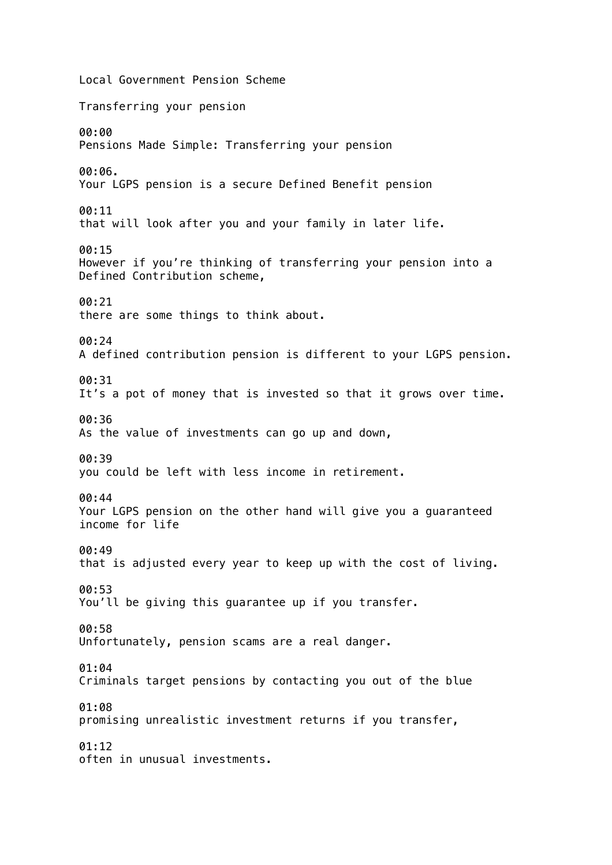Local Government Pension Scheme Transferring your pension 00:00 Pensions Made Simple: Transferring your pension 00:06. Your LGPS pension is a secure Defined Benefit pension 00:11 that will look after you and your family in later life. 00:15 However if you're thinking of transferring your pension into a Defined Contribution scheme, 00:21 there are some things to think about. 00:24 A defined contribution pension is different to your LGPS pension. 00:31 It's a pot of money that is invested so that it grows over time. 00:36 As the value of investments can go up and down, 00:39 you could be left with less income in retirement. 00:44 Your LGPS pension on the other hand will give you a guaranteed income for life 00:49 that is adjusted every year to keep up with the cost of living. 00:53 You'll be giving this guarantee up if you transfer. 00:58 Unfortunately, pension scams are a real danger. 01:04 Criminals target pensions by contacting you out of the blue 01:08 promising unrealistic investment returns if you transfer, 01:12 often in unusual investments.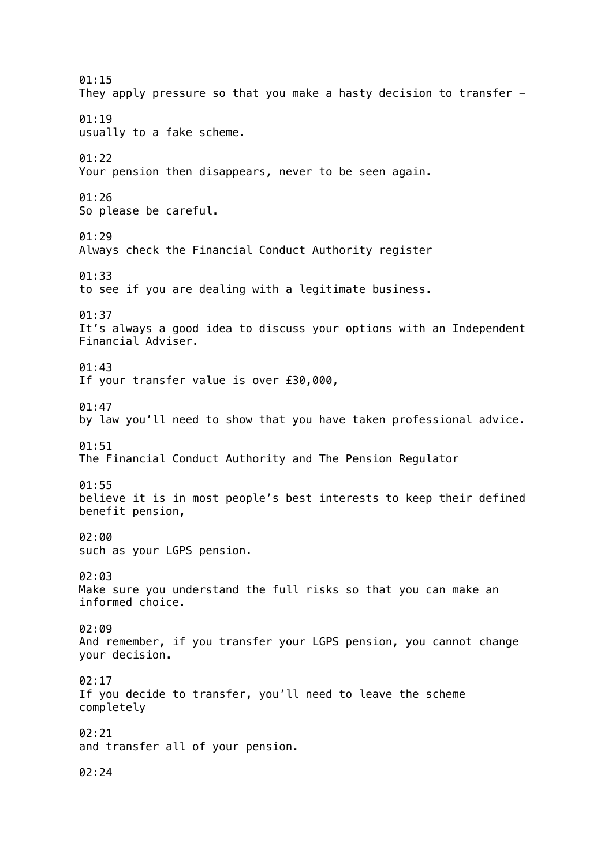01:15 They apply pressure so that you make a hasty decision to transfer - 01:19 usually to a fake scheme. 01:22 Your pension then disappears, never to be seen again. 01:26 So please be careful. 01:29 Always check the Financial Conduct Authority register 01:33 to see if you are dealing with a legitimate business. 01:37 It's always a good idea to discuss your options with an Independent Financial Adviser. 01:43 If your transfer value is over £30,000, 01:47 by law you'll need to show that you have taken professional advice. 01:51 The Financial Conduct Authority and The Pension Regulator 01:55 believe it is in most people's best interests to keep their defined benefit pension, 02:00 such as your LGPS pension. 02:03 Make sure you understand the full risks so that you can make an informed choice. 02:09 And remember, if you transfer your LGPS pension, you cannot change your decision. 02:17 If you decide to transfer, you'll need to leave the scheme completely 02:21 and transfer all of your pension. 02:24